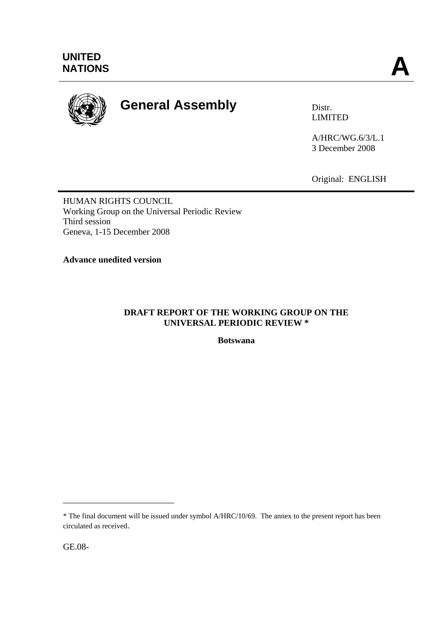

# **General Assembly Distra Distr.**

LIMITED

A/HRC/WG.6/3/L.1 3 December 2008

Original: ENGLISH

HUMAN RIGHTS COUNCIL Working Group on the Universal Periodic Review Third session Geneva, 1-15 December 2008

**Advance unedited version** 

### **DRAFT REPORT OF THE WORKING GROUP ON THE UNIVERSAL PERIODIC REVIEW \***

**Botswana** 

GE.08-

\_\_\_\_\_\_\_\_\_\_\_\_\_\_\_\_\_\_\_\_\_\_\_\_\_

<sup>\*</sup> The final document will be issued under symbol A/HRC/10/69. The annex to the present report has been circulated as received.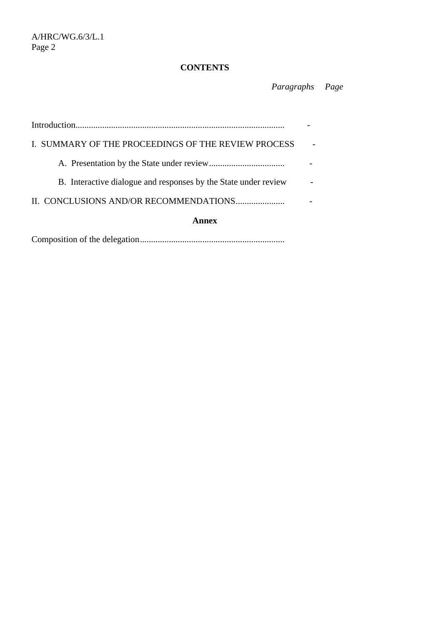## **CONTENTS**

 *Paragraphs Page* 

| I. SUMMARY OF THE PROCEEDINGS OF THE REVIEW PROCESS             |  |
|-----------------------------------------------------------------|--|
|                                                                 |  |
| B. Interactive dialogue and responses by the State under review |  |
|                                                                 |  |
| Annex                                                           |  |
|                                                                 |  |

Composition of the delegation.................................................................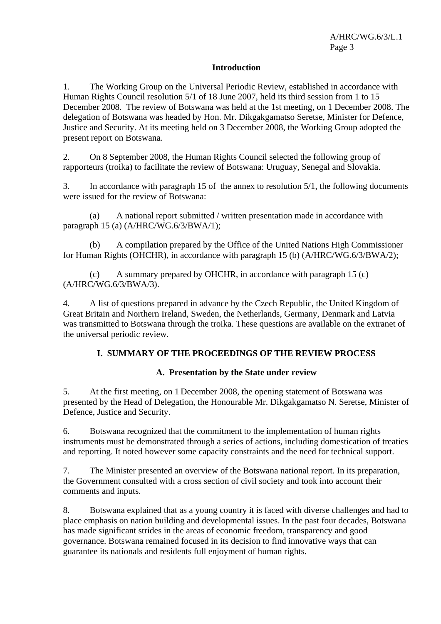#### **Introduction**

1. The Working Group on the Universal Periodic Review, established in accordance with Human Rights Council resolution 5/1 of 18 June 2007, held its third session from 1 to 15 December 2008. The review of Botswana was held at the 1st meeting, on 1 December 2008. The delegation of Botswana was headed by Hon. Mr. Dikgakgamatso Seretse, Minister for Defence, Justice and Security. At its meeting held on 3 December 2008, the Working Group adopted the present report on Botswana.

2. On 8 September 2008, the Human Rights Council selected the following group of rapporteurs (troika) to facilitate the review of Botswana: Uruguay, Senegal and Slovakia.

3. In accordance with paragraph 15 of the annex to resolution 5/1, the following documents were issued for the review of Botswana:

 (a) A national report submitted / written presentation made in accordance with paragraph 15 (a) (A/HRC/WG.6/3/BWA/1);

 (b) A compilation prepared by the Office of the United Nations High Commissioner for Human Rights (OHCHR), in accordance with paragraph 15 (b) (A/HRC/WG.6/3/BWA/2);

 (c) A summary prepared by OHCHR, in accordance with paragraph 15 (c) (A/HRC/WG.6/3/BWA/3).

4. A list of questions prepared in advance by the Czech Republic, the United Kingdom of Great Britain and Northern Ireland, Sweden, the Netherlands, Germany, Denmark and Latvia was transmitted to Botswana through the troika. These questions are available on the extranet of the universal periodic review.

#### **I. SUMMARY OF THE PROCEEDINGS OF THE REVIEW PROCESS**

#### **A. Presentation by the State under review**

5. At the first meeting, on 1 December 2008, the opening statement of Botswana was presented by the Head of Delegation, the Honourable Mr. Dikgakgamatso N. Seretse, Minister of Defence, Justice and Security.

6. Botswana recognized that the commitment to the implementation of human rights instruments must be demonstrated through a series of actions, including domestication of treaties and reporting. It noted however some capacity constraints and the need for technical support.

7. The Minister presented an overview of the Botswana national report. In its preparation, the Government consulted with a cross section of civil society and took into account their comments and inputs.

8. Botswana explained that as a young country it is faced with diverse challenges and had to place emphasis on nation building and developmental issues. In the past four decades, Botswana has made significant strides in the areas of economic freedom, transparency and good governance. Botswana remained focused in its decision to find innovative ways that can guarantee its nationals and residents full enjoyment of human rights.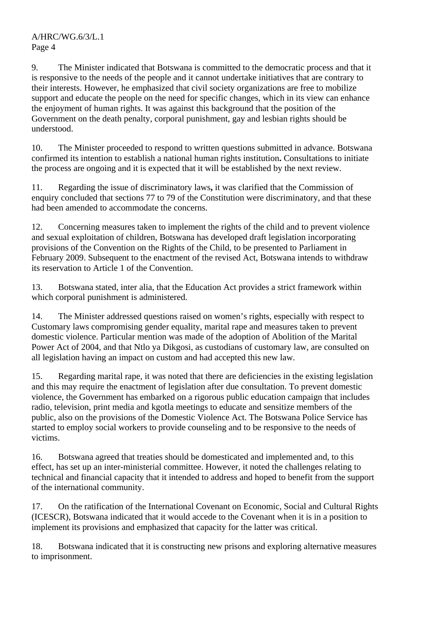A/HRC/WG.6/3/L.1 Page 4

9. The Minister indicated that Botswana is committed to the democratic process and that it is responsive to the needs of the people and it cannot undertake initiatives that are contrary to their interests. However, he emphasized that civil society organizations are free to mobilize support and educate the people on the need for specific changes, which in its view can enhance the enjoyment of human rights. It was against this background that the position of the Government on the death penalty, corporal punishment, gay and lesbian rights should be understood.

10. The Minister proceeded to respond to written questions submitted in advance. Botswana confirmed its intention to establish a national human rights institution**.** Consultations to initiate the process are ongoing and it is expected that it will be established by the next review.

11. Regarding the issue of discriminatory laws**,** it was clarified that the Commission of enquiry concluded that sections 77 to 79 of the Constitution were discriminatory, and that these had been amended to accommodate the concerns.

12. Concerning measures taken to implement the rights of the child and to prevent violence and sexual exploitation of children, Botswana has developed draft legislation incorporating provisions of the Convention on the Rights of the Child, to be presented to Parliament in February 2009. Subsequent to the enactment of the revised Act, Botswana intends to withdraw its reservation to Article 1 of the Convention.

13. Botswana stated, inter alia, that the Education Act provides a strict framework within which corporal punishment is administered.

14. The Minister addressed questions raised on women's rights, especially with respect to Customary laws compromising gender equality, marital rape and measures taken to prevent domestic violence. Particular mention was made of the adoption of Abolition of the Marital Power Act of 2004, and that Ntlo ya Dikgosi, as custodians of customary law, are consulted on all legislation having an impact on custom and had accepted this new law.

15. Regarding marital rape, it was noted that there are deficiencies in the existing legislation and this may require the enactment of legislation after due consultation. To prevent domestic violence, the Government has embarked on a rigorous public education campaign that includes radio, television, print media and kgotla meetings to educate and sensitize members of the public, also on the provisions of the Domestic Violence Act. The Botswana Police Service has started to employ social workers to provide counseling and to be responsive to the needs of victims.

16. Botswana agreed that treaties should be domesticated and implemented and, to this effect, has set up an inter-ministerial committee. However, it noted the challenges relating to technical and financial capacity that it intended to address and hoped to benefit from the support of the international community.

17. On the ratification of the International Covenant on Economic, Social and Cultural Rights (ICESCR), Botswana indicated that it would accede to the Covenant when it is in a position to implement its provisions and emphasized that capacity for the latter was critical.

18. Botswana indicated that it is constructing new prisons and exploring alternative measures to imprisonment.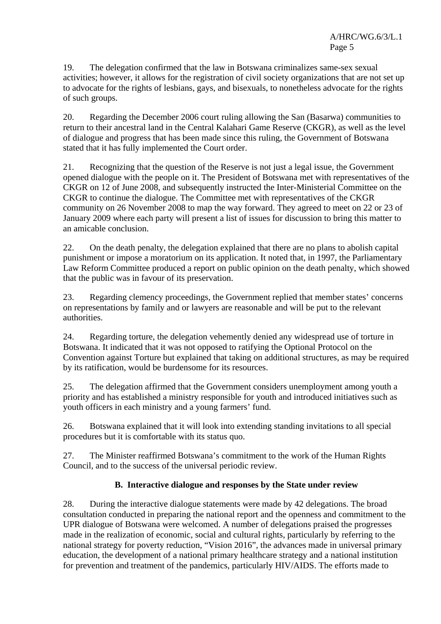19. The delegation confirmed that the law in Botswana criminalizes same-sex sexual activities; however, it allows for the registration of civil society organizations that are not set up to advocate for the rights of lesbians, gays, and bisexuals, to nonetheless advocate for the rights of such groups.

20. Regarding the December 2006 court ruling allowing the San (Basarwa) communities to return to their ancestral land in the Central Kalahari Game Reserve (CKGR), as well as the level of dialogue and progress that has been made since this ruling, the Government of Botswana stated that it has fully implemented the Court order.

21. Recognizing that the question of the Reserve is not just a legal issue, the Government opened dialogue with the people on it. The President of Botswana met with representatives of the CKGR on 12 of June 2008, and subsequently instructed the Inter-Ministerial Committee on the CKGR to continue the dialogue. The Committee met with representatives of the CKGR community on 26 November 2008 to map the way forward. They agreed to meet on 22 or 23 of January 2009 where each party will present a list of issues for discussion to bring this matter to an amicable conclusion.

22. On the death penalty, the delegation explained that there are no plans to abolish capital punishment or impose a moratorium on its application. It noted that, in 1997, the Parliamentary Law Reform Committee produced a report on public opinion on the death penalty, which showed that the public was in favour of its preservation.

23. Regarding clemency proceedings, the Government replied that member states' concerns on representations by family and or lawyers are reasonable and will be put to the relevant authorities.

24. Regarding torture, the delegation vehemently denied any widespread use of torture in Botswana. It indicated that it was not opposed to ratifying the Optional Protocol on the Convention against Torture but explained that taking on additional structures, as may be required by its ratification, would be burdensome for its resources.

25. The delegation affirmed that the Government considers unemployment among youth a priority and has established a ministry responsible for youth and introduced initiatives such as youth officers in each ministry and a young farmers' fund.

26. Botswana explained that it will look into extending standing invitations to all special procedures but it is comfortable with its status quo.

27. The Minister reaffirmed Botswana's commitment to the work of the Human Rights Council, and to the success of the universal periodic review.

## **B. Interactive dialogue and responses by the State under review**

28. During the interactive dialogue statements were made by 42 delegations. The broad consultation conducted in preparing the national report and the openness and commitment to the UPR dialogue of Botswana were welcomed. A number of delegations praised the progresses made in the realization of economic, social and cultural rights, particularly by referring to the national strategy for poverty reduction, "Vision 2016", the advances made in universal primary education, the development of a national primary healthcare strategy and a national institution for prevention and treatment of the pandemics, particularly HIV/AIDS. The efforts made to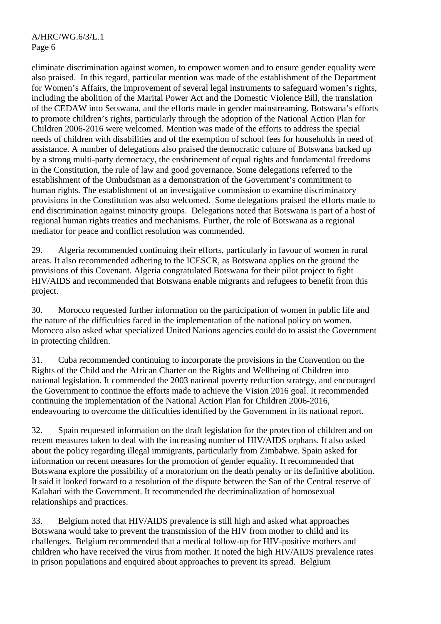eliminate discrimination against women, to empower women and to ensure gender equality were also praised. In this regard, particular mention was made of the establishment of the Department for Women's Affairs, the improvement of several legal instruments to safeguard women's rights, including the abolition of the Marital Power Act and the Domestic Violence Bill, the translation of the CEDAW into Setswana, and the efforts made in gender mainstreaming. Botswana's efforts to promote children's rights, particularly through the adoption of the National Action Plan for Children 2006-2016 were welcomed. Mention was made of the efforts to address the special needs of children with disabilities and of the exemption of school fees for households in need of assistance. A number of delegations also praised the democratic culture of Botswana backed up by a strong multi-party democracy, the enshrinement of equal rights and fundamental freedoms in the Constitution, the rule of law and good governance. Some delegations referred to the establishment of the Ombudsman as a demonstration of the Government's commitment to human rights. The establishment of an investigative commission to examine discriminatory provisions in the Constitution was also welcomed. Some delegations praised the efforts made to end discrimination against minority groups. Delegations noted that Botswana is part of a host of regional human rights treaties and mechanisms. Further, the role of Botswana as a regional mediator for peace and conflict resolution was commended.

29. Algeria recommended continuing their efforts, particularly in favour of women in rural areas. It also recommended adhering to the ICESCR, as Botswana applies on the ground the provisions of this Covenant. Algeria congratulated Botswana for their pilot project to fight HIV/AIDS and recommended that Botswana enable migrants and refugees to benefit from this project.

30. Morocco requested further information on the participation of women in public life and the nature of the difficulties faced in the implementation of the national policy on women. Morocco also asked what specialized United Nations agencies could do to assist the Government in protecting children.

31. Cuba recommended continuing to incorporate the provisions in the Convention on the Rights of the Child and the African Charter on the Rights and Wellbeing of Children into national legislation. It commended the 2003 national poverty reduction strategy, and encouraged the Government to continue the efforts made to achieve the Vision 2016 goal. It recommended continuing the implementation of the National Action Plan for Children 2006-2016, endeavouring to overcome the difficulties identified by the Government in its national report.

32. Spain requested information on the draft legislation for the protection of children and on recent measures taken to deal with the increasing number of HIV/AIDS orphans. It also asked about the policy regarding illegal immigrants, particularly from Zimbabwe. Spain asked for information on recent measures for the promotion of gender equality. It recommended that Botswana explore the possibility of a moratorium on the death penalty or its definitive abolition. It said it looked forward to a resolution of the dispute between the San of the Central reserve of Kalahari with the Government. It recommended the decriminalization of homosexual relationships and practices.

33. Belgium noted that HIV/AIDS prevalence is still high and asked what approaches Botswana would take to prevent the transmission of the HIV from mother to child and its challenges. Belgium recommended that a medical follow-up for HIV-positive mothers and children who have received the virus from mother. It noted the high HIV/AIDS prevalence rates in prison populations and enquired about approaches to prevent its spread. Belgium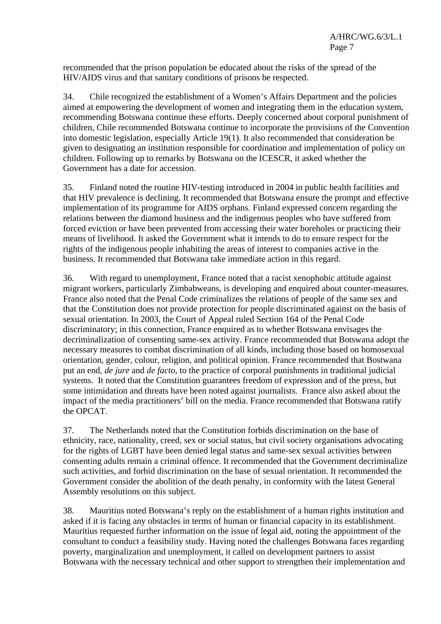recommended that the prison population be educated about the risks of the spread of the HIV/AIDS virus and that sanitary conditions of prisons be respected.

34. Chile recognized the establishment of a Women's Affairs Department and the policies aimed at empowering the development of women and integrating them in the education system, recommending Botswana continue these efforts. Deeply concerned about corporal punishment of children, Chile recommended Botswana continue to incorporate the provisions of the Convention into domestic legislation, especially Article 19(1). It also recommended that consideration be given to designating an institution responsible for coordination and implementation of policy on children. Following up to remarks by Botswana on the ICESCR, it asked whether the Government has a date for accession.

35. Finland noted the routine HIV-testing introduced in 2004 in public health facilities and that HIV prevalence is declining. It recommended that Botswana ensure the prompt and effective implementation of its programme for AIDS orphans. Finland expressed concern regarding the relations between the diamond business and the indigenous peoples who have suffered from forced eviction or have been prevented from accessing their water boreholes or practicing their means of livelihood. It asked the Government what it intends to do to ensure respect for the rights of the indigenous people inhabiting the areas of interest to companies active in the business. It recommended that Botswana take immediate action in this regard.

36. With regard to unemployment, France noted that a racist xenophobic attitude against migrant workers, particularly Zimbabweans, is developing and enquired about counter-measures. France also noted that the Penal Code criminalizes the relations of people of the same sex and that the Constitution does not provide protection for people discriminated against on the basis of sexual orientation. In 2003, the Court of Appeal ruled Section 164 of the Penal Code discriminatory; in this connection, France enquired as to whether Botswana envisages the decriminalization of consenting same-sex activity. France recommended that Botswana adopt the necessary measures to combat discrimination of all kinds, including those based on homosexual orientation, gender, colour, religion, and political opinion. France recommended that Bostwana put an end, *de jure* and *de facto*, to the practice of corporal punishments in traditional judicial systems. It noted that the Constitution guarantees freedom of expression and of the press, but some intimidation and threats have been noted against journalists. France also asked about the impact of the media practitioners' bill on the media. France recommended that Botswana ratify the OPCAT.

37. The Netherlands noted that the Constitution forbids discrimination on the base of ethnicity, race, nationality, creed, sex or social status, but civil society organisations advocating for the rights of LGBT have been denied legal status and same-sex sexual activities between consenting adults remain a criminal offence. It recommended that the Government decriminalize such activities, and forbid discrimination on the base of sexual orientation. It recommended the Government consider the abolition of the death penalty, in conformity with the latest General Assembly resolutions on this subject.

38. Mauritius noted Botswana's reply on the establishment of a human rights institution and asked if it is facing any obstacles in terms of human or financial capacity in its establishment. Mauritius requested further information on the issue of legal aid, noting the appointment of the consultant to conduct a feasibility study. Having noted the challenges Botswana faces regarding poverty, marginalization and unemployment, it called on development partners to assist Botswana with the necessary technical and other support to strengthen their implementation and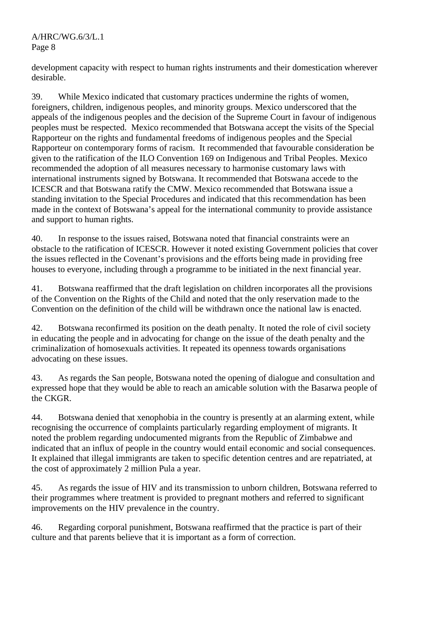development capacity with respect to human rights instruments and their domestication wherever desirable.

39. While Mexico indicated that customary practices undermine the rights of women, foreigners, children, indigenous peoples, and minority groups. Mexico underscored that the appeals of the indigenous peoples and the decision of the Supreme Court in favour of indigenous peoples must be respected. Mexico recommended that Botswana accept the visits of the Special Rapporteur on the rights and fundamental freedoms of indigenous peoples and the Special Rapporteur on contemporary forms of racism. It recommended that favourable consideration be given to the ratification of the ILO Convention 169 on Indigenous and Tribal Peoples. Mexico recommended the adoption of all measures necessary to harmonise customary laws with international instruments signed by Botswana. It recommended that Botswana accede to the ICESCR and that Botswana ratify the CMW. Mexico recommended that Botswana issue a standing invitation to the Special Procedures and indicated that this recommendation has been made in the context of Botswana's appeal for the international community to provide assistance and support to human rights.

40. In response to the issues raised, Botswana noted that financial constraints were an obstacle to the ratification of ICESCR. However it noted existing Government policies that cover the issues reflected in the Covenant's provisions and the efforts being made in providing free houses to everyone, including through a programme to be initiated in the next financial year.

41. Botswana reaffirmed that the draft legislation on children incorporates all the provisions of the Convention on the Rights of the Child and noted that the only reservation made to the Convention on the definition of the child will be withdrawn once the national law is enacted.

42. Botswana reconfirmed its position on the death penalty. It noted the role of civil society in educating the people and in advocating for change on the issue of the death penalty and the criminalization of homosexuals activities. It repeated its openness towards organisations advocating on these issues.

43. As regards the San people, Botswana noted the opening of dialogue and consultation and expressed hope that they would be able to reach an amicable solution with the Basarwa people of the CKGR.

44. Botswana denied that xenophobia in the country is presently at an alarming extent, while recognising the occurrence of complaints particularly regarding employment of migrants. It noted the problem regarding undocumented migrants from the Republic of Zimbabwe and indicated that an influx of people in the country would entail economic and social consequences. It explained that illegal immigrants are taken to specific detention centres and are repatriated, at the cost of approximately 2 million Pula a year.

45. As regards the issue of HIV and its transmission to unborn children, Botswana referred to their programmes where treatment is provided to pregnant mothers and referred to significant improvements on the HIV prevalence in the country.

46. Regarding corporal punishment, Botswana reaffirmed that the practice is part of their culture and that parents believe that it is important as a form of correction.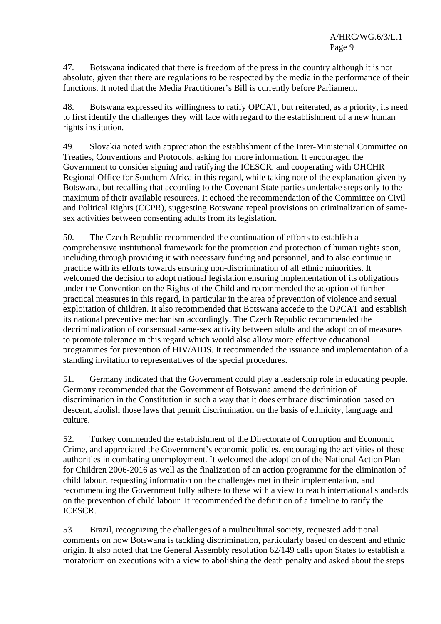47. Botswana indicated that there is freedom of the press in the country although it is not absolute, given that there are regulations to be respected by the media in the performance of their functions. It noted that the Media Practitioner's Bill is currently before Parliament.

48. Botswana expressed its willingness to ratify OPCAT, but reiterated, as a priority, its need to first identify the challenges they will face with regard to the establishment of a new human rights institution.

49. Slovakia noted with appreciation the establishment of the Inter-Ministerial Committee on Treaties, Conventions and Protocols, asking for more information. It encouraged the Government to consider signing and ratifying the ICESCR, and cooperating with OHCHR Regional Office for Southern Africa in this regard, while taking note of the explanation given by Botswana, but recalling that according to the Covenant State parties undertake steps only to the maximum of their available resources. It echoed the recommendation of the Committee on Civil and Political Rights (CCPR), suggesting Botswana repeal provisions on criminalization of samesex activities between consenting adults from its legislation.

50. The Czech Republic recommended the continuation of efforts to establish a comprehensive institutional framework for the promotion and protection of human rights soon, including through providing it with necessary funding and personnel, and to also continue in practice with its efforts towards ensuring non-discrimination of all ethnic minorities. It welcomed the decision to adopt national legislation ensuring implementation of its obligations under the Convention on the Rights of the Child and recommended the adoption of further practical measures in this regard, in particular in the area of prevention of violence and sexual exploitation of children. It also recommended that Botswana accede to the OPCAT and establish its national preventive mechanism accordingly. The Czech Republic recommended the decriminalization of consensual same-sex activity between adults and the adoption of measures to promote tolerance in this regard which would also allow more effective educational programmes for prevention of HIV/AIDS. It recommended the issuance and implementation of a standing invitation to representatives of the special procedures.

51. Germany indicated that the Government could play a leadership role in educating people. Germany recommended that the Government of Botswana amend the definition of discrimination in the Constitution in such a way that it does embrace discrimination based on descent, abolish those laws that permit discrimination on the basis of ethnicity, language and culture.

52. Turkey commended the establishment of the Directorate of Corruption and Economic Crime, and appreciated the Government's economic policies, encouraging the activities of these authorities in combating unemployment. It welcomed the adoption of the National Action Plan for Children 2006-2016 as well as the finalization of an action programme for the elimination of child labour, requesting information on the challenges met in their implementation, and recommending the Government fully adhere to these with a view to reach international standards on the prevention of child labour. It recommended the definition of a timeline to ratify the ICESCR.

53. Brazil, recognizing the challenges of a multicultural society, requested additional comments on how Botswana is tackling discrimination, particularly based on descent and ethnic origin. It also noted that the General Assembly resolution 62/149 calls upon States to establish a moratorium on executions with a view to abolishing the death penalty and asked about the steps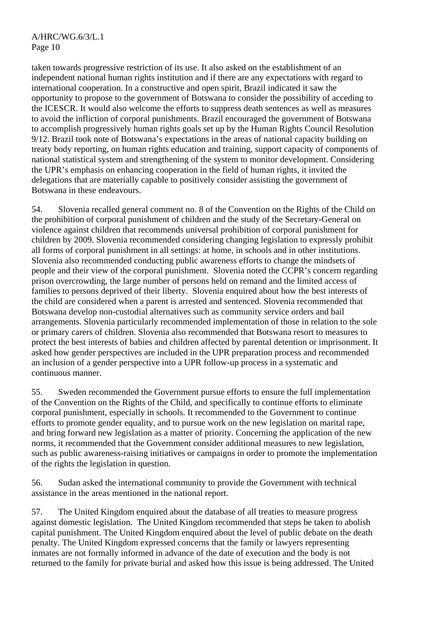taken towards progressive restriction of its use. It also asked on the establishment of an independent national human rights institution and if there are any expectations with regard to international cooperation. In a constructive and open spirit, Brazil indicated it saw the opportunity to propose to the government of Botswana to consider the possibility of acceding to the ICESCR. It would also welcome the efforts to suppress death sentences as well as measures to avoid the infliction of corporal punishments. Brazil encouraged the government of Botswana to accomplish progressively human rights goals set up by the Human Rights Council Resolution 9/12. Brazil took note of Botswana's expectations in the areas of national capacity building on treaty body reporting, on human rights education and training, support capacity of components of national statistical system and strengthening of the system to monitor development. Considering the UPR's emphasis on enhancing cooperation in the field of human rights, it invited the delegations that are materially capable to positively consider assisting the government of Botswana in these endeavours.

54. Slovenia recalled general comment no. 8 of the Convention on the Rights of the Child on the prohibition of corporal punishment of children and the study of the Secretary-General on violence against children that recommends universal prohibition of corporal punishment for children by 2009. Slovenia recommended considering changing legislation to expressly prohibit all forms of corporal punishment in all settings: at home, in schools and in other institutions. Slovenia also recommended conducting public awareness efforts to change the mindsets of people and their view of the corporal punishment. Slovenia noted the CCPR's concern regarding prison overcrowding, the large number of persons held on remand and the limited access of families to persons deprived of their liberty. Slovenia enquired about how the best interests of the child are considered when a parent is arrested and sentenced. Slovenia recommended that Botswana develop non-custodial alternatives such as community service orders and bail arrangements. Slovenia particularly recommended implementation of those in relation to the sole or primary carers of children. Slovenia also recommended that Botswana resort to measures to protect the best interests of babies and children affected by parental detention or imprisonment. It asked how gender perspectives are included in the UPR preparation process and recommended an inclusion of a gender perspective into a UPR follow-up process in a systematic and continuous manner.

55. Sweden recommended the Government pursue efforts to ensure the full implementation of the Convention on the Rights of the Child, and specifically to continue efforts to eliminate corporal punishment, especially in schools. It recommended to the Government to continue efforts to promote gender equality, and to pursue work on the new legislation on marital rape, and bring forward new legislation as a matter of priority. Concerning the application of the new norms, it recommended that the Government consider additional measures to new legislation, such as public awareness-raising initiatives or campaigns in order to promote the implementation of the rights the legislation in question.

56. Sudan asked the international community to provide the Government with technical assistance in the areas mentioned in the national report.

57. The United Kingdom enquired about the database of all treaties to measure progress against domestic legislation. The United Kingdom recommended that steps be taken to abolish capital punishment. The United Kingdom enquired about the level of public debate on the death penalty. The United Kingdom expressed concerns that the family or lawyers representing inmates are not formally informed in advance of the date of execution and the body is not returned to the family for private burial and asked how this issue is being addressed. The United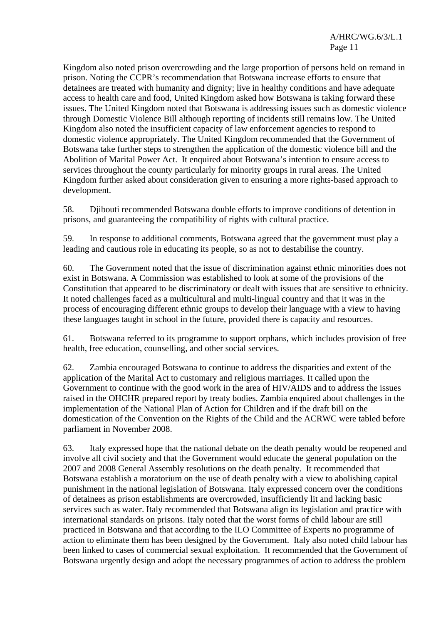Kingdom also noted prison overcrowding and the large proportion of persons held on remand in prison. Noting the CCPR's recommendation that Botswana increase efforts to ensure that detainees are treated with humanity and dignity; live in healthy conditions and have adequate access to health care and food, United Kingdom asked how Botswana is taking forward these issues. The United Kingdom noted that Botswana is addressing issues such as domestic violence through Domestic Violence Bill although reporting of incidents still remains low. The United Kingdom also noted the insufficient capacity of law enforcement agencies to respond to domestic violence appropriately. The United Kingdom recommended that the Government of Botswana take further steps to strengthen the application of the domestic violence bill and the Abolition of Marital Power Act. It enquired about Botswana's intention to ensure access to services throughout the county particularly for minority groups in rural areas. The United Kingdom further asked about consideration given to ensuring a more rights-based approach to development.

58. Djibouti recommended Botswana double efforts to improve conditions of detention in prisons, and guaranteeing the compatibility of rights with cultural practice.

59. In response to additional comments, Botswana agreed that the government must play a leading and cautious role in educating its people, so as not to destabilise the country.

60. The Government noted that the issue of discrimination against ethnic minorities does not exist in Botswana. A Commission was established to look at some of the provisions of the Constitution that appeared to be discriminatory or dealt with issues that are sensitive to ethnicity. It noted challenges faced as a multicultural and multi-lingual country and that it was in the process of encouraging different ethnic groups to develop their language with a view to having these languages taught in school in the future, provided there is capacity and resources.

61. Botswana referred to its programme to support orphans, which includes provision of free health, free education, counselling, and other social services.

62. Zambia encouraged Botswana to continue to address the disparities and extent of the application of the Marital Act to customary and religious marriages. It called upon the Government to continue with the good work in the area of HIV/AIDS and to address the issues raised in the OHCHR prepared report by treaty bodies. Zambia enquired about challenges in the implementation of the National Plan of Action for Children and if the draft bill on the domestication of the Convention on the Rights of the Child and the ACRWC were tabled before parliament in November 2008.

63. Italy expressed hope that the national debate on the death penalty would be reopened and involve all civil society and that the Government would educate the general population on the 2007 and 2008 General Assembly resolutions on the death penalty. It recommended that Botswana establish a moratorium on the use of death penalty with a view to abolishing capital punishment in the national legislation of Botswana. Italy expressed concern over the conditions of detainees as prison establishments are overcrowded, insufficiently lit and lacking basic services such as water. Italy recommended that Botswana align its legislation and practice with international standards on prisons. Italy noted that the worst forms of child labour are still practiced in Botswana and that according to the ILO Committee of Experts no programme of action to eliminate them has been designed by the Government. Italy also noted child labour has been linked to cases of commercial sexual exploitation. It recommended that the Government of Botswana urgently design and adopt the necessary programmes of action to address the problem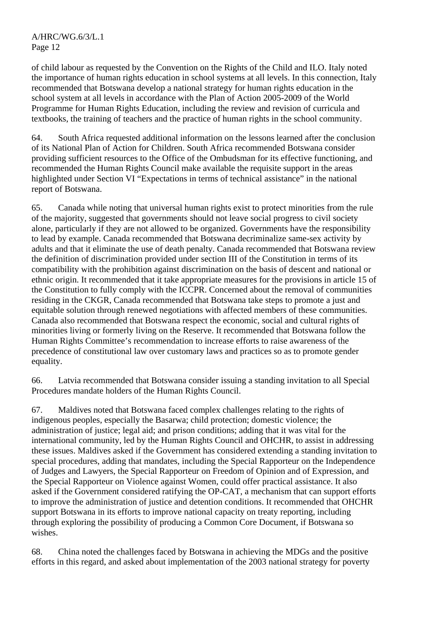of child labour as requested by the Convention on the Rights of the Child and ILO. Italy noted the importance of human rights education in school systems at all levels. In this connection, Italy recommended that Botswana develop a national strategy for human rights education in the school system at all levels in accordance with the Plan of Action 2005-2009 of the World Programme for Human Rights Education, including the review and revision of curricula and textbooks, the training of teachers and the practice of human rights in the school community.

64. South Africa requested additional information on the lessons learned after the conclusion of its National Plan of Action for Children. South Africa recommended Botswana consider providing sufficient resources to the Office of the Ombudsman for its effective functioning, and recommended the Human Rights Council make available the requisite support in the areas highlighted under Section VI "Expectations in terms of technical assistance" in the national report of Botswana.

65. Canada while noting that universal human rights exist to protect minorities from the rule of the majority, suggested that governments should not leave social progress to civil society alone, particularly if they are not allowed to be organized. Governments have the responsibility to lead by example. Canada recommended that Botswana decriminalize same-sex activity by adults and that it eliminate the use of death penalty. Canada recommended that Botswana review the definition of discrimination provided under section III of the Constitution in terms of its compatibility with the prohibition against discrimination on the basis of descent and national or ethnic origin. It recommended that it take appropriate measures for the provisions in article 15 of the Constitution to fully comply with the ICCPR. Concerned about the removal of communities residing in the CKGR, Canada recommended that Botswana take steps to promote a just and equitable solution through renewed negotiations with affected members of these communities. Canada also recommended that Botswana respect the economic, social and cultural rights of minorities living or formerly living on the Reserve. It recommended that Botswana follow the Human Rights Committee's recommendation to increase efforts to raise awareness of the precedence of constitutional law over customary laws and practices so as to promote gender equality.

66. Latvia recommended that Botswana consider issuing a standing invitation to all Special Procedures mandate holders of the Human Rights Council.

67. Maldives noted that Botswana faced complex challenges relating to the rights of indigenous peoples, especially the Basarwa; child protection; domestic violence; the administration of justice; legal aid; and prison conditions; adding that it was vital for the international community, led by the Human Rights Council and OHCHR, to assist in addressing these issues. Maldives asked if the Government has considered extending a standing invitation to special procedures, adding that mandates, including the Special Rapporteur on the Independence of Judges and Lawyers, the Special Rapporteur on Freedom of Opinion and of Expression, and the Special Rapporteur on Violence against Women, could offer practical assistance. It also asked if the Government considered ratifying the OP-CAT, a mechanism that can support efforts to improve the administration of justice and detention conditions. It recommended that OHCHR support Botswana in its efforts to improve national capacity on treaty reporting, including through exploring the possibility of producing a Common Core Document, if Botswana so wishes.

68. China noted the challenges faced by Botswana in achieving the MDGs and the positive efforts in this regard, and asked about implementation of the 2003 national strategy for poverty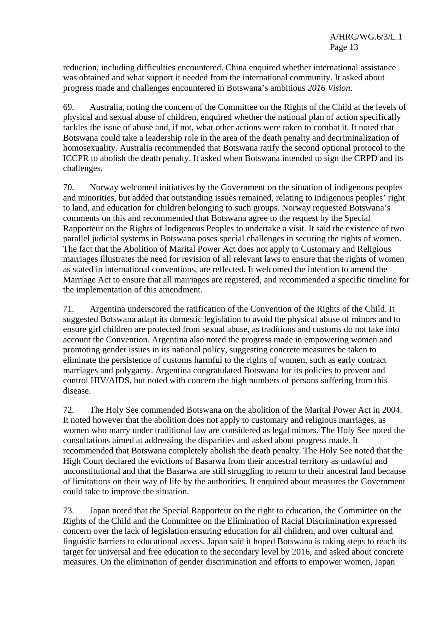reduction, including difficulties encountered. China enquired whether international assistance was obtained and what support it needed from the international community. It asked about progress made and challenges encountered in Botswana's ambitious *2016 Vision*.

69. Australia, noting the concern of the Committee on the Rights of the Child at the levels of physical and sexual abuse of children, enquired whether the national plan of action specifically tackles the issue of abuse and, if not, what other actions were taken to combat it. It noted that Botswana could take a leadership role in the area of the death penalty and decriminalization of homosexuality. Australia recommended that Botswana ratify the second optional protocol to the ICCPR to abolish the death penalty. It asked when Botswana intended to sign the CRPD and its challenges.

70. Norway welcomed initiatives by the Government on the situation of indigenous peoples and minorities, but added that outstanding issues remained, relating to indigenous peoples' right to land, and education for children belonging to such groups. Norway requested Botswana's comments on this and recommended that Botswana agree to the request by the Special Rapporteur on the Rights of Indigenous Peoples to undertake a visit. It said the existence of two parallel judicial systems in Botswana poses special challenges in securing the rights of women. The fact that the Abolition of Marital Power Act does not apply to Customary and Religious marriages illustrates the need for revision of all relevant laws to ensure that the rights of women as stated in international conventions, are reflected. It welcomed the intention to amend the Marriage Act to ensure that all marriages are registered, and recommended a specific timeline for the implementation of this amendment.

71. Argentina underscored the ratification of the Convention of the Rights of the Child. It suggested Botswana adapt its domestic legislation to avoid the physical abuse of minors and to ensure girl children are protected from sexual abuse, as traditions and customs do not take into account the Convention. Argentina also noted the progress made in empowering women and promoting gender issues in its national policy, suggesting concrete measures be taken to eliminate the persistence of customs harmful to the rights of women, such as early contract marriages and polygamy. Argentina congratulated Botswana for its policies to prevent and control HIV/AIDS, but noted with concern the high numbers of persons suffering from this disease.

72. The Holy See commended Botswana on the abolition of the Marital Power Act in 2004. It noted however that the abolition does not apply to customary and religious marriages, as women who marry under traditional law are considered as legal minors. The Holy See noted the consultations aimed at addressing the disparities and asked about progress made. It recommended that Botswana completely abolish the death penalty. The Holy See noted that the High Court declared the evictions of Basarwa from their ancestral territory as unlawful and unconstitutional and that the Basarwa are still struggling to return to their ancestral land because of limitations on their way of life by the authorities. It enquired about measures the Government could take to improve the situation.

73. Japan noted that the Special Rapporteur on the right to education, the Committee on the Rights of the Child and the Committee on the Elimination of Racial Discrimination expressed concern over the lack of legislation ensuring education for all children, and over cultural and linguistic barriers to educational access. Japan said it hoped Botswana is taking steps to reach its target for universal and free education to the secondary level by 2016, and asked about concrete measures. On the elimination of gender discrimination and efforts to empower women, Japan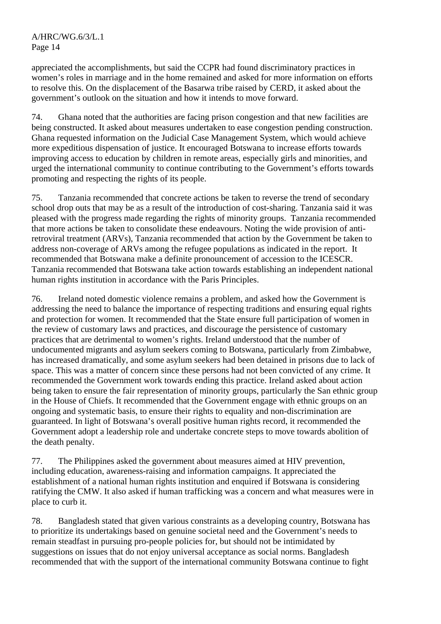appreciated the accomplishments, but said the CCPR had found discriminatory practices in women's roles in marriage and in the home remained and asked for more information on efforts to resolve this. On the displacement of the Basarwa tribe raised by CERD, it asked about the government's outlook on the situation and how it intends to move forward.

74. Ghana noted that the authorities are facing prison congestion and that new facilities are being constructed. It asked about measures undertaken to ease congestion pending construction. Ghana requested information on the Judicial Case Management System, which would achieve more expeditious dispensation of justice. It encouraged Botswana to increase efforts towards improving access to education by children in remote areas, especially girls and minorities, and urged the international community to continue contributing to the Government's efforts towards promoting and respecting the rights of its people.

75. Tanzania recommended that concrete actions be taken to reverse the trend of secondary school drop outs that may be as a result of the introduction of cost-sharing. Tanzania said it was pleased with the progress made regarding the rights of minority groups. Tanzania recommended that more actions be taken to consolidate these endeavours. Noting the wide provision of antiretroviral treatment (ARVs), Tanzania recommended that action by the Government be taken to address non-coverage of ARVs among the refugee populations as indicated in the report. It recommended that Botswana make a definite pronouncement of accession to the ICESCR. Tanzania recommended that Botswana take action towards establishing an independent national human rights institution in accordance with the Paris Principles.

76. Ireland noted domestic violence remains a problem, and asked how the Government is addressing the need to balance the importance of respecting traditions and ensuring equal rights and protection for women. It recommended that the State ensure full participation of women in the review of customary laws and practices, and discourage the persistence of customary practices that are detrimental to women's rights. Ireland understood that the number of undocumented migrants and asylum seekers coming to Botswana, particularly from Zimbabwe, has increased dramatically, and some asylum seekers had been detained in prisons due to lack of space. This was a matter of concern since these persons had not been convicted of any crime. It recommended the Government work towards ending this practice. Ireland asked about action being taken to ensure the fair representation of minority groups, particularly the San ethnic group in the House of Chiefs. It recommended that the Government engage with ethnic groups on an ongoing and systematic basis, to ensure their rights to equality and non-discrimination are guaranteed. In light of Botswana's overall positive human rights record, it recommended the Government adopt a leadership role and undertake concrete steps to move towards abolition of the death penalty.

77. The Philippines asked the government about measures aimed at HIV prevention, including education, awareness-raising and information campaigns. It appreciated the establishment of a national human rights institution and enquired if Botswana is considering ratifying the CMW. It also asked if human trafficking was a concern and what measures were in place to curb it.

78. Bangladesh stated that given various constraints as a developing country, Botswana has to prioritize its undertakings based on genuine societal need and the Government's needs to remain steadfast in pursuing pro-people policies for, but should not be intimidated by suggestions on issues that do not enjoy universal acceptance as social norms. Bangladesh recommended that with the support of the international community Botswana continue to fight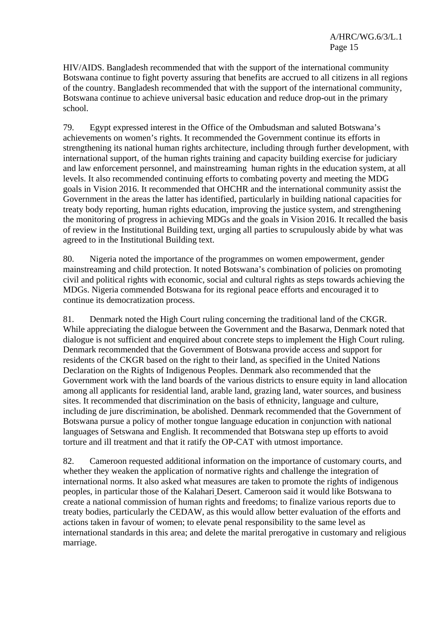HIV/AIDS. Bangladesh recommended that with the support of the international community Botswana continue to fight poverty assuring that benefits are accrued to all citizens in all regions of the country. Bangladesh recommended that with the support of the international community, Botswana continue to achieve universal basic education and reduce drop-out in the primary school.

79. Egypt expressed interest in the Office of the Ombudsman and saluted Botswana's achievements on women's rights. It recommended the Government continue its efforts in strengthening its national human rights architecture, including through further development, with international support, of the human rights training and capacity building exercise for judiciary and law enforcement personnel, and mainstreaming human rights in the education system, at all levels. It also recommended continuing efforts to combating poverty and meeting the MDG goals in Vision 2016. It recommended that OHCHR and the international community assist the Government in the areas the latter has identified, particularly in building national capacities for treaty body reporting, human rights education, improving the justice system, and strengthening the monitoring of progress in achieving MDGs and the goals in Vision 2016. It recalled the basis of review in the Institutional Building text, urging all parties to scrupulously abide by what was agreed to in the Institutional Building text.

80. Nigeria noted the importance of the programmes on women empowerment, gender mainstreaming and child protection. It noted Botswana's combination of policies on promoting civil and political rights with economic, social and cultural rights as steps towards achieving the MDGs. Nigeria commended Botswana for its regional peace efforts and encouraged it to continue its democratization process.

81. Denmark noted the High Court ruling concerning the traditional land of the CKGR. While appreciating the dialogue between the Government and the Basarwa, Denmark noted that dialogue is not sufficient and enquired about concrete steps to implement the High Court ruling. Denmark recommended that the Government of Botswana provide access and support for residents of the CKGR based on the right to their land, as specified in the United Nations Declaration on the Rights of Indigenous Peoples. Denmark also recommended that the Government work with the land boards of the various districts to ensure equity in land allocation among all applicants for residential land, arable land, grazing land, water sources, and business sites. It recommended that discrimination on the basis of ethnicity, language and culture, including de jure discrimination, be abolished. Denmark recommended that the Government of Botswana pursue a policy of mother tongue language education in conjunction with national languages of Setswana and English. It recommended that Botswana step up efforts to avoid torture and ill treatment and that it ratify the OP-CAT with utmost importance.

82. Cameroon requested additional information on the importance of customary courts, and whether they weaken the application of normative rights and challenge the integration of international norms. It also asked what measures are taken to promote the rights of indigenous peoples, in particular those of the Kalahari Desert. Cameroon said it would like Botswana to create a national commission of human rights and freedoms; to finalize various reports due to treaty bodies, particularly the CEDAW, as this would allow better evaluation of the efforts and actions taken in favour of women; to elevate penal responsibility to the same level as international standards in this area; and delete the marital prerogative in customary and religious marriage.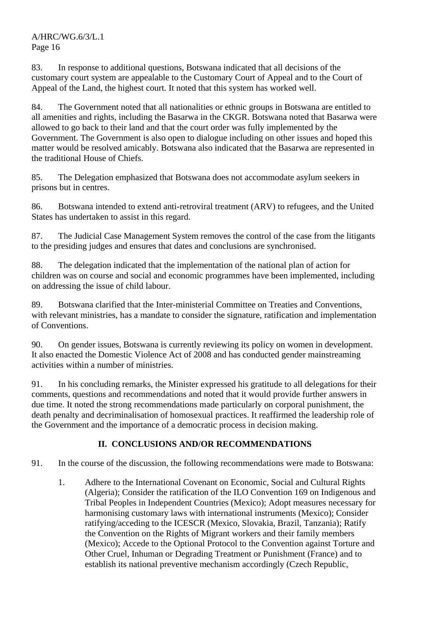A/HRC/WG.6/3/L.1 Page 16

83. In response to additional questions, Botswana indicated that all decisions of the customary court system are appealable to the Customary Court of Appeal and to the Court of Appeal of the Land, the highest court. It noted that this system has worked well.

84. The Government noted that all nationalities or ethnic groups in Botswana are entitled to all amenities and rights, including the Basarwa in the CKGR. Botswana noted that Basarwa were allowed to go back to their land and that the court order was fully implemented by the Government. The Government is also open to dialogue including on other issues and hoped this matter would be resolved amicably. Botswana also indicated that the Basarwa are represented in the traditional House of Chiefs.

85. The Delegation emphasized that Botswana does not accommodate asylum seekers in prisons but in centres.

86. Botswana intended to extend anti-retroviral treatment (ARV) to refugees, and the United States has undertaken to assist in this regard.

87. The Judicial Case Management System removes the control of the case from the litigants to the presiding judges and ensures that dates and conclusions are synchronised.

88. The delegation indicated that the implementation of the national plan of action for children was on course and social and economic programmes have been implemented, including on addressing the issue of child labour.

89. Botswana clarified that the Inter-ministerial Committee on Treaties and Conventions, with relevant ministries, has a mandate to consider the signature, ratification and implementation of Conventions.

90. On gender issues, Botswana is currently reviewing its policy on women in development. It also enacted the Domestic Violence Act of 2008 and has conducted gender mainstreaming activities within a number of ministries.

91. In his concluding remarks, the Minister expressed his gratitude to all delegations for their comments, questions and recommendations and noted that it would provide further answers in due time. It noted the strong recommendations made particularly on corporal punishment, the death penalty and decriminalisation of homosexual practices. It reaffirmed the leadership role of the Government and the importance of a democratic process in decision making.

## **II. CONCLUSIONS AND/OR RECOMMENDATIONS**

91. In the course of the discussion, the following recommendations were made to Botswana:

1. Adhere to the International Covenant on Economic, Social and Cultural Rights (Algeria); Consider the ratification of the ILO Convention 169 on Indigenous and Tribal Peoples in Independent Countries (Mexico); Adopt measures necessary for harmonising customary laws with international instruments (Mexico); Consider ratifying/acceding to the ICESCR (Mexico, Slovakia, Brazil, Tanzania); Ratify the Convention on the Rights of Migrant workers and their family members (Mexico); Accede to the Optional Protocol to the Convention against Torture and Other Cruel, Inhuman or Degrading Treatment or Punishment (France) and to establish its national preventive mechanism accordingly (Czech Republic,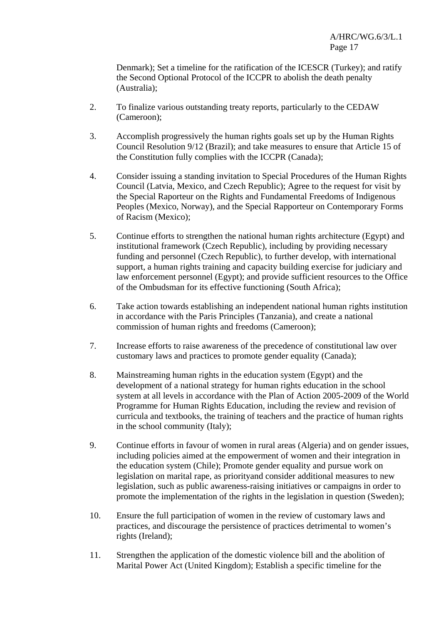Denmark); Set a timeline for the ratification of the ICESCR (Turkey); and ratify the Second Optional Protocol of the ICCPR to abolish the death penalty (Australia);

- 2. To finalize various outstanding treaty reports, particularly to the CEDAW (Cameroon);
- 3. Accomplish progressively the human rights goals set up by the Human Rights Council Resolution 9/12 (Brazil); and take measures to ensure that Article 15 of the Constitution fully complies with the ICCPR (Canada);
- 4. Consider issuing a standing invitation to Special Procedures of the Human Rights Council (Latvia, Mexico, and Czech Republic); Agree to the request for visit by the Special Raporteur on the Rights and Fundamental Freedoms of Indigenous Peoples (Mexico, Norway), and the Special Rapporteur on Contemporary Forms of Racism (Mexico);
- 5. Continue efforts to strengthen the national human rights architecture (Egypt) and institutional framework (Czech Republic), including by providing necessary funding and personnel (Czech Republic), to further develop, with international support, a human rights training and capacity building exercise for judiciary and law enforcement personnel (Egypt); and provide sufficient resources to the Office of the Ombudsman for its effective functioning (South Africa);
- 6. Take action towards establishing an independent national human rights institution in accordance with the Paris Principles (Tanzania), and create a national commission of human rights and freedoms (Cameroon);
- 7. Increase efforts to raise awareness of the precedence of constitutional law over customary laws and practices to promote gender equality (Canada);
- 8. Mainstreaming human rights in the education system (Egypt) and the development of a national strategy for human rights education in the school system at all levels in accordance with the Plan of Action 2005-2009 of the World Programme for Human Rights Education, including the review and revision of curricula and textbooks, the training of teachers and the practice of human rights in the school community (Italy);
- 9. Continue efforts in favour of women in rural areas (Algeria) and on gender issues, including policies aimed at the empowerment of women and their integration in the education system (Chile); Promote gender equality and pursue work on legislation on marital rape, as priorityand consider additional measures to new legislation, such as public awareness-raising initiatives or campaigns in order to promote the implementation of the rights in the legislation in question (Sweden);
- 10. Ensure the full participation of women in the review of customary laws and practices, and discourage the persistence of practices detrimental to women's rights (Ireland);
- 11. Strengthen the application of the domestic violence bill and the abolition of Marital Power Act (United Kingdom); Establish a specific timeline for the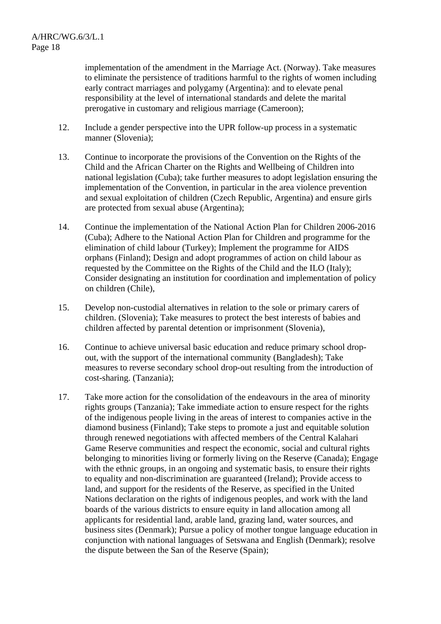implementation of the amendment in the Marriage Act. (Norway). Take measures to eliminate the persistence of traditions harmful to the rights of women including early contract marriages and polygamy (Argentina): and to elevate penal responsibility at the level of international standards and delete the marital prerogative in customary and religious marriage (Cameroon);

- 12. Include a gender perspective into the UPR follow-up process in a systematic manner (Slovenia);
- 13. Continue to incorporate the provisions of the Convention on the Rights of the Child and the African Charter on the Rights and Wellbeing of Children into national legislation (Cuba); take further measures to adopt legislation ensuring the implementation of the Convention, in particular in the area violence prevention and sexual exploitation of children (Czech Republic, Argentina) and ensure girls are protected from sexual abuse (Argentina);
- 14. Continue the implementation of the National Action Plan for Children 2006-2016 (Cuba); Adhere to the National Action Plan for Children and programme for the elimination of child labour (Turkey); Implement the programme for AIDS orphans (Finland); Design and adopt programmes of action on child labour as requested by the Committee on the Rights of the Child and the ILO (Italy); Consider designating an institution for coordination and implementation of policy on children (Chile),
- 15. Develop non-custodial alternatives in relation to the sole or primary carers of children. (Slovenia); Take measures to protect the best interests of babies and children affected by parental detention or imprisonment (Slovenia),
- 16. Continue to achieve universal basic education and reduce primary school dropout, with the support of the international community (Bangladesh); Take measures to reverse secondary school drop-out resulting from the introduction of cost-sharing. (Tanzania);
- 17. Take more action for the consolidation of the endeavours in the area of minority rights groups (Tanzania); Take immediate action to ensure respect for the rights of the indigenous people living in the areas of interest to companies active in the diamond business (Finland); Take steps to promote a just and equitable solution through renewed negotiations with affected members of the Central Kalahari Game Reserve communities and respect the economic, social and cultural rights belonging to minorities living or formerly living on the Reserve (Canada); Engage with the ethnic groups, in an ongoing and systematic basis, to ensure their rights to equality and non-discrimination are guaranteed (Ireland); Provide access to land, and support for the residents of the Reserve, as specified in the United Nations declaration on the rights of indigenous peoples, and work with the land boards of the various districts to ensure equity in land allocation among all applicants for residential land, arable land, grazing land, water sources, and business sites (Denmark); Pursue a policy of mother tongue language education in conjunction with national languages of Setswana and English (Denmark); resolve the dispute between the San of the Reserve (Spain);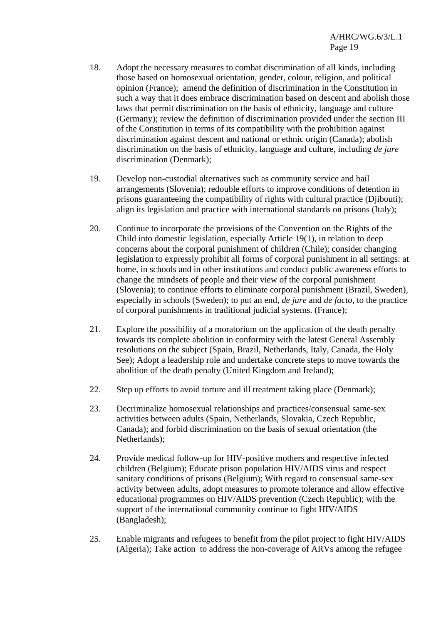- 18. Adopt the necessary measures to combat discrimination of all kinds, including those based on homosexual orientation, gender, colour, religion, and political opinion (France); amend the definition of discrimination in the Constitution in such a way that it does embrace discrimination based on descent and abolish those laws that permit discrimination on the basis of ethnicity, language and culture (Germany); review the definition of discrimination provided under the section III of the Constitution in terms of its compatibility with the prohibition against discrimination against descent and national or ethnic origin (Canada); abolish discrimination on the basis of ethnicity, language and culture, including *de jure* discrimination (Denmark);
- 19. Develop non-custodial alternatives such as community service and bail arrangements (Slovenia); redouble efforts to improve conditions of detention in prisons guaranteeing the compatibility of rights with cultural practice (Djibouti); align its legislation and practice with international standards on prisons (Italy);
- 20. Continue to incorporate the provisions of the Convention on the Rights of the Child into domestic legislation, especially Article 19(1), in relation to deep concerns about the corporal punishment of children (Chile); consider changing legislation to expressly prohibit all forms of corporal punishment in all settings: at home, in schools and in other institutions and conduct public awareness efforts to change the mindsets of people and their view of the corporal punishment (Slovenia); to continue efforts to eliminate corporal punishment (Brazil, Sweden), especially in schools (Sweden); to put an end, *de jure* and *de facto*, to the practice of corporal punishments in traditional judicial systems. (France);
- 21. Explore the possibility of a moratorium on the application of the death penalty towards its complete abolition in conformity with the latest General Assembly resolutions on the subject (Spain, Brazil, Netherlands, Italy, Canada, the Holy See); Adopt a leadership role and undertake concrete steps to move towards the abolition of the death penalty (United Kingdom and Ireland);
- 22. Step up efforts to avoid torture and ill treatment taking place (Denmark);
- 23. Decriminalize homosexual relationships and practices/consensual same-sex activities between adults (Spain, Netherlands, Slovakia, Czech Republic, Canada); and forbid discrimination on the basis of sexual orientation (the Netherlands);
- 24. Provide medical follow-up for HIV-positive mothers and respective infected children (Belgium); Educate prison population HIV/AIDS virus and respect sanitary conditions of prisons (Belgium); With regard to consensual same-sex activity between adults, adopt measures to promote tolerance and allow effective educational programmes on HIV/AIDS prevention (Czech Republic); with the support of the international community continue to fight HIV/AIDS (Bangladesh);
- 25. Enable migrants and refugees to benefit from the pilot project to fight HIV/AIDS (Algeria); Take action to address the non-coverage of ARVs among the refugee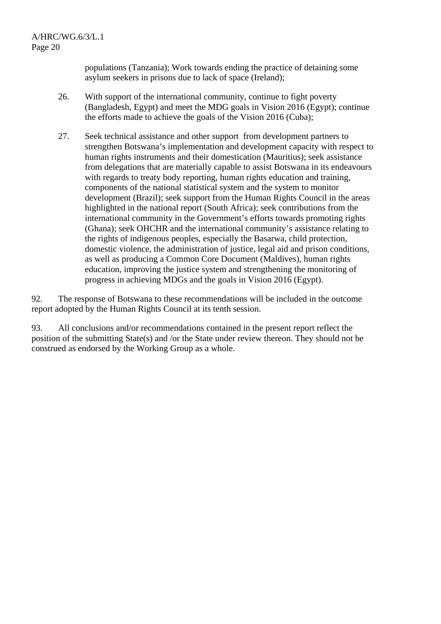populations (Tanzania); Work towards ending the practice of detaining some asylum seekers in prisons due to lack of space (Ireland);

- 26. With support of the international community, continue to fight poverty (Bangladesh, Egypt) and meet the MDG goals in Vision 2016 (Egypt); continue the efforts made to achieve the goals of the Vision 2016 (Cuba);
- 27. Seek technical assistance and other support from development partners to strengthen Botswana's implementation and development capacity with respect to human rights instruments and their domestication (Mauritius); seek assistance from delegations that are materially capable to assist Botswana in its endeavours with regards to treaty body reporting, human rights education and training, components of the national statistical system and the system to monitor development (Brazil); seek support from the Human Rights Council in the areas highlighted in the national report (South Africa); seek contributions from the international community in the Government's efforts towards promoting rights (Ghana); seek OHCHR and the international community's assistance relating to the rights of indigenous peoples, especially the Basarwa, child protection, domestic violence, the administration of justice, legal aid and prison conditions, as well as producing a Common Core Document (Maldives), human rights education, improving the justice system and strengthening the monitoring of progress in achieving MDGs and the goals in Vision 2016 (Egypt).

92. The response of Botswana to these recommendations will be included in the outcome report adopted by the Human Rights Council at its tenth session.

93. All conclusions and/or recommendations contained in the present report reflect the position of the submitting State(s) and /or the State under review thereon. They should not be construed as endorsed by the Working Group as a whole.